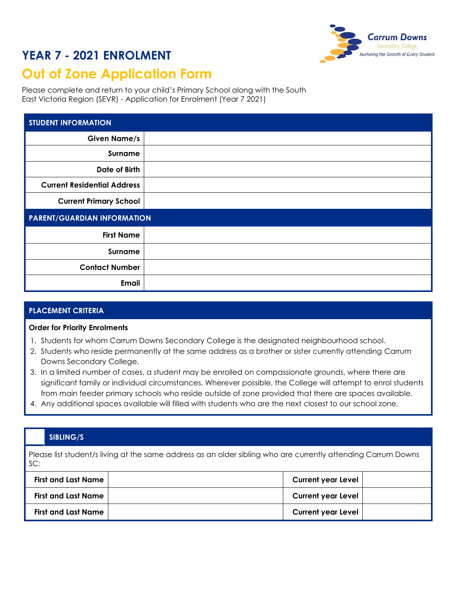## **YEAR 7 - 2021 ENROLMENT**



# **Out of Zone Application Form**

Please complete and return to your child's Primary School along with the South East Victoria Region (SEVR) - Application for Enrolment (Year 7 2021)

| <b>STUDENT INFORMATION</b>         |  |  |
|------------------------------------|--|--|
| <b>Given Name/s</b>                |  |  |
| Surname                            |  |  |
| Date of Birth                      |  |  |
| <b>Current Residential Address</b> |  |  |
| <b>Current Primary School</b>      |  |  |
| <b>PARENT/GUARDIAN INFORMATION</b> |  |  |
| <b>First Name</b>                  |  |  |
| Surname                            |  |  |
| <b>Contact Number</b>              |  |  |
| <b>Email</b>                       |  |  |

### **PLACEMENT CRITERIA**

#### **Order for Priority Enrolments**

- 1. Students for whom Carrum Downs Secondary College is the designated neighbourhood school.
- 2. Students who reside permanently at the same address as a brother or sister currently attending Carrum Downs Secondary College.
- 3. In a limited number of cases, a student may be enrolled on compassionate grounds, where there are significant family or individual circumstances. Wherever possible, the College will attempt to enrol students from main feeder primary schools who reside outside of zone provided that there are spaces available.
- 4. Any additional spaces available will filled with students who are the next closest to our school zone.

#### **SIBLING/S**

Please list student/s living at the same address as an older sibling who are currently attending Carrum Downs SC:

| <b>First and Last Name</b> | <b>Current year Level</b> |  |
|----------------------------|---------------------------|--|
| <b>First and Last Name</b> | <b>Current year Level</b> |  |
| <b>First and Last Name</b> | <b>Current year Level</b> |  |